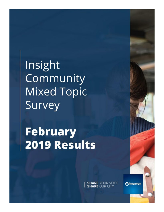Insight Community **Mixed Topic** Survey

**February** 2019 Results

**SHARE** YOUR VOICE

**Edmonton**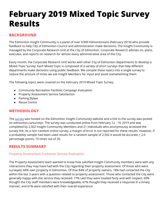# **February 2019 Mixed Topic Survey Results**

# **BACKGROUND**

The Edmonton Insight Community is a panel of over 9,900 Edmontonians (February 2019) who provide feedback to help City of Edmonton Council and administration make decisions. The Insight Community is managed by the Corporate Research Unit at the City of Edmonton. Corporate Research advises on, plans, executes, and reports on research for almost every administrative area of the City.

Every month, the Corporate Research Unit works with other City of Edmonton departments to develop a Mixed Topic Survey. Each Mixed Topic is composed of a variety of short surveys that help different departments make decisions using public feedback. We compile these topics into a single survey to reduce the amount of times we ask Insight Members for input and avoid overwhelming them.

The following topics were covered on the February 2019 Mixed Topic Survey:

- Community Recreation Facilities Campaign Evaluation
- Property Assessment Service Satisfaction
- Parking Bylaw
- Reuse Centre

## **METHODOLOGY**

The [survey](https://www.edmontoninsightcommunity.ca/c/a/5Zm2RDGSw7B7iGL4Hao69s?t=1) was hosted on the Edmonton Insight Community website and a link to the survey was posted on edmonton.ca/surveys. The survey was conducted online from February 12 - 19, 2019 and was completed by 2,502 Insight Community Members and 21 individuals who anonymously accessed the survey link. As a non-random online survey, a margin of error is not reported for these results. However, if a probability sample had been used results for a random sample of 2,502 it would be accurate  $\pm$  2.0 percentage points, 19 times out of 20.

## **RESULTS SUMMARY**

### Property Assessment Customer Service Evaluation

The Property Assessment team wanted to know how satisfied Insight Community members were with any interactions they may have had with the City regarding their property assessment. Of those who were surveyed, 84% own property in Edmonton. Of that 84% of property owners, 18% had contacted the City within the last 3 years with a question related to property assessment. Those who contacted the City were generally happy with the service they received: 77% said they were treated fairly and with respect, 69% thought the City staff members were knowledgeable, 67% thought they received a response in a timely manner, and 61% were satisfied with their overall experience.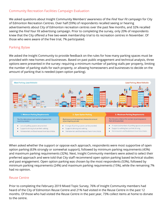### Community Recreation Facilities Campaign Evaluation

We asked questions about Insight Community Members' awareness of the *Find Your Fit* campaign for City of Edmonton Recreation Centres. Over half (59%) of respondents recalled seeing or hearing advertisements about City of Edmonton recreation centres over the past few months, and 32% recalled seeing the *Find Your Fit* advertising campaign. Prior to completing the survey, only 20% of respondents knew that the City offered a free two-week membership trial to its recreation centres in November. Of those who were aware of the free trial, 7% participated.

## Parking Bylaw

We asked the Insight Community to provide feedback on the rules for how many parking spaces must be provided with new homes and businesses. Based on past public engagement and technical analysis, three options were presented in the survey: requiring a minimum number of parking stalls per property, limiting the number of parking stalls for each property, or allowing homeowners and businesses to decide on the amount of parking that is needed (open option parking).



When asked whether the support or oppose each approach, respondents were most supportive of open option parking (63% strongly or somewhat support), followed by minimum parking requirements (43%) and maximum parking requirements (32%). Next, Insight Community members were asked to select their preferred approach and were told that City staff recommend open option parking based technical studies and past engagement. Open option parking was chosen by the most respondents (53%), followed by minimum parking requirements (24%) and maximum parking requirements (15%), while the remaining 7% had no opinion.

#### Reuse Centre

Prior to completing the February 2019 Mixed Topic Survey, 76% of Insight Community members had heard of the City of Edmonton Reuse Centre and 21% had visited in the Reuse Centre in the past 12 months. Of those who had visited the Reuse Centre in the past year, 73% collect items at home to donate to the centre.